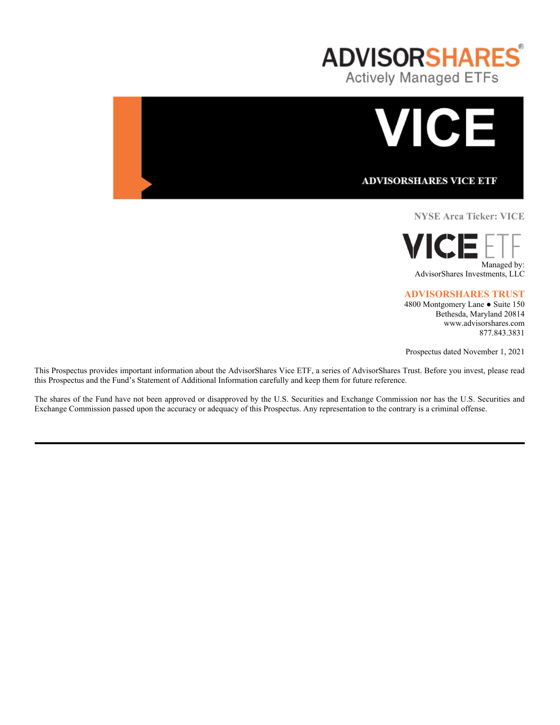



**NYSE Arca Ticker: VICE**



# **ADVISORSHARES TRUST**

4800 Montgomery Lane ● Suite 150 Bethesda, Maryland 20814 www.advisorshares.com 877.843.3831

Prospectus dated November 1, 2021

This Prospectus provides important information about the AdvisorShares Vice ETF, a series of AdvisorShares Trust. Before you invest, please read this Prospectus and the Fund's Statement of Additional Information carefully and keep them for future reference.

The shares of the Fund have not been approved or disapproved by the U.S. Securities and Exchange Commission nor has the U.S. Securities and Exchange Commission passed upon the accuracy or adequacy of this Prospectus. Any representation to the contrary is a criminal offense.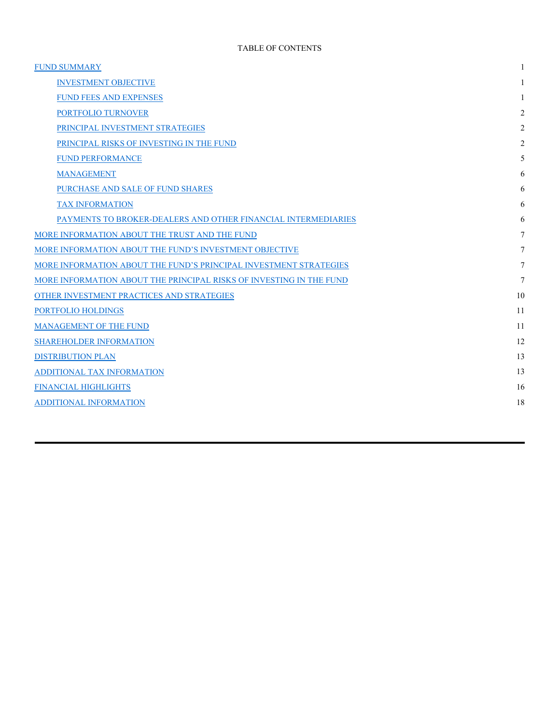| <b>FUND SUMMARY</b>                                                 |                |
|---------------------------------------------------------------------|----------------|
| <b>INVESTMENT OBJECTIVE</b>                                         |                |
| <b>FUND FEES AND EXPENSES</b>                                       |                |
| PORTFOLIO TURNOVER                                                  | 2              |
| PRINCIPAL INVESTMENT STRATEGIES                                     | 2              |
| PRINCIPAL RISKS OF INVESTING IN THE FUND                            | $\overline{2}$ |
| <b>FUND PERFORMANCE</b>                                             | 5              |
| <b>MANAGEMENT</b>                                                   | 6              |
| PURCHASE AND SALE OF FUND SHARES                                    | 6              |
| <b>TAX INFORMATION</b>                                              | 6              |
| PAYMENTS TO BROKER-DEALERS AND OTHER FINANCIAL INTERMEDIARIES       | 6              |
| MORE INFORMATION ABOUT THE TRUST AND THE FUND                       | 7              |
| MORE INFORMATION ABOUT THE FUND'S INVESTMENT OBJECTIVE              | 7              |
| MORE INFORMATION ABOUT THE FUND'S PRINCIPAL INVESTMENT STRATEGIES   | 7              |
| MORE INFORMATION ABOUT THE PRINCIPAL RISKS OF INVESTING IN THE FUND | 7              |
| OTHER INVESTMENT PRACTICES AND STRATEGIES                           | 10             |
| PORTFOLIO HOLDINGS                                                  | 11             |
| MANAGEMENT OF THE FUND                                              | 11             |
| <b>SHAREHOLDER INFORMATION</b>                                      | 12             |
| <b>DISTRIBUTION PLAN</b>                                            | 13             |
| ADDITIONAL TAX INFORMATION                                          | 13             |
| <b>FINANCIAL HIGHLIGHTS</b>                                         | 16             |
| <b>ADDITIONAL INFORMATION</b>                                       | 18             |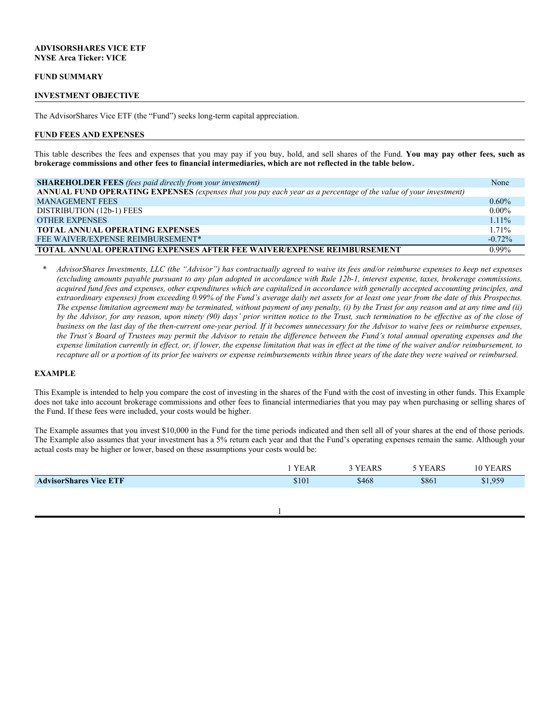### **ADVISORSHARES VICE ETF NYSE Arca Ticker: VICE**

#### **FUND SUMMARY**

#### **INVESTMENT OBJECTIVE**

The AdvisorShares Vice ETF (the "Fund") seeks long-term capital appreciation.

#### **FUND FEES AND EXPENSES**

This table describes the fees and expenses that you may pay if you buy, hold, and sell shares of the Fund. **You may pay other fees, such as brokerage commissions and other fees to financial intermediaries, which are not reflected in the table below.**

| <b>SHAREHOLDER FEES</b> (fees paid directly from your investment)                                                | None      |
|------------------------------------------------------------------------------------------------------------------|-----------|
| ANNUAL FUND OPERATING EXPENSES (expenses that you pay each year as a percentage of the value of your investment) |           |
| <b>MANAGEMENT FEES</b>                                                                                           | $0.60\%$  |
| DISTRIBUTION (12b-1) FEES                                                                                        | $0.00\%$  |
| <b>OTHER EXPENSES</b>                                                                                            | $1.11\%$  |
| <b>TOTAL ANNUAL OPERATING EXPENSES</b>                                                                           | 1.71%     |
| FEE WAIVER/EXPENSE REIMBURSEMENT*                                                                                | $-0.72\%$ |
| <b>TOTAL ANNUAL OPERATING EXPENSES AFTER FEE WAIVER/EXPENSE REIMBURSEMENT</b>                                    | $0.99\%$  |

*\* AdvisorShares Investments, LLC (the "Advisor") has contractually agreed to waive its fees and/or reimburse expenses to keep net expenses (excluding amounts payable pursuant to any plan adopted in accordance with Rule 12b-1, interest expense, taxes, brokerage commissions, acquired fund fees and expenses, other expenditures which are capitalized in accordance with generally accepted accounting principles, and extraordinary expenses) from exceeding 0.99% of the Fund's average daily net assets for at least one year from the date of this Prospectus. The expense limitation agreement may be terminated, without payment of any penalty, (i) by the Trust for any reason and at any time and (ii)*  by the Advisor, for any reason, upon ninety (90) days' prior written notice to the Trust, such termination to be effective as of the close of *business on the last day of the then-current one-year period. If it becomes unnecessary for the Advisor to waive fees or reimburse expenses, the Trust's Board of Trustees may permit the Advisor to retain the difference between the Fund's total annual operating expenses and the expense limitation currently in effect, or, if lower, the expense limitation that was in effect at the time of the waiver and/or reimbursement, to recapture all or a portion of its prior fee waivers or expense reimbursements within three years of the date they were waived or reimbursed.*

#### **EXAMPLE**

This Example is intended to help you compare the cost of investing in the shares of the Fund with the cost of investing in other funds. This Example does not take into account brokerage commissions and other fees to financial intermediaries that you may pay when purchasing or selling shares of the Fund. If these fees were included, your costs would be higher.

The Example assumes that you invest \$10,000 in the Fund for the time periods indicated and then sell all of your shares at the end of those periods. The Example also assumes that your investment has a 5% return each year and that the Fund's operating expenses remain the same. Although your actual costs may be higher or lower, based on these assumptions your costs would be:

|                               | YEAR  | VE<br>EARS | YEARS | <b>YEARS</b><br>. 0 |
|-------------------------------|-------|------------|-------|---------------------|
| <b>AdvisorShares Vice ETF</b> | \$101 | \$468      | \$861 | \$1,959             |
|                               |       |            |       |                     |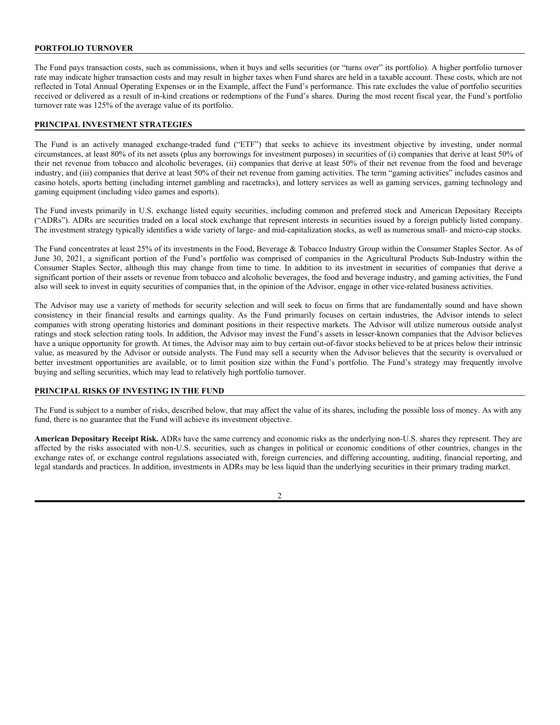# **PORTFOLIO TURNOVER**

The Fund pays transaction costs, such as commissions, when it buys and sells securities (or "turns over" its portfolio). A higher portfolio turnover rate may indicate higher transaction costs and may result in higher taxes when Fund shares are held in a taxable account. These costs, which are not reflected in Total Annual Operating Expenses or in the Example, affect the Fund's performance. This rate excludes the value of portfolio securities received or delivered as a result of in-kind creations or redemptions of the Fund's shares. During the most recent fiscal year, the Fund's portfolio turnover rate was 125% of the average value of its portfolio.

### **PRINCIPAL INVESTMENT STRATEGIES**

The Fund is an actively managed exchange-traded fund ("ETF") that seeks to achieve its investment objective by investing, under normal circumstances, at least 80% of its net assets (plus any borrowings for investment purposes) in securities of (i) companies that derive at least 50% of their net revenue from tobacco and alcoholic beverages, (ii) companies that derive at least 50% of their net revenue from the food and beverage industry, and (iii) companies that derive at least 50% of their net revenue from gaming activities. The term "gaming activities" includes casinos and casino hotels, sports betting (including internet gambling and racetracks), and lottery services as well as gaming services, gaming technology and gaming equipment (including video games and esports).

The Fund invests primarily in U.S. exchange listed equity securities, including common and preferred stock and American Depositary Receipts ("ADRs"). ADRs are securities traded on a local stock exchange that represent interests in securities issued by a foreign publicly listed company. The investment strategy typically identifies a wide variety of large- and mid-capitalization stocks, as well as numerous small- and micro-cap stocks.

The Fund concentrates at least 25% of its investments in the Food, Beverage & Tobacco Industry Group within the Consumer Staples Sector. As of June 30, 2021, a significant portion of the Fund's portfolio was comprised of companies in the Agricultural Products Sub-Industry within the Consumer Staples Sector, although this may change from time to time. In addition to its investment in securities of companies that derive a significant portion of their assets or revenue from tobacco and alcoholic beverages, the food and beverage industry, and gaming activities, the Fund also will seek to invest in equity securities of companies that, in the opinion of the Advisor, engage in other vice-related business activities.

The Advisor may use a variety of methods for security selection and will seek to focus on firms that are fundamentally sound and have shown consistency in their financial results and earnings quality. As the Fund primarily focuses on certain industries, the Advisor intends to select companies with strong operating histories and dominant positions in their respective markets. The Advisor will utilize numerous outside analyst ratings and stock selection rating tools. In addition, the Advisor may invest the Fund's assets in lesser-known companies that the Advisor believes have a unique opportunity for growth. At times, the Advisor may aim to buy certain out-of-favor stocks believed to be at prices below their intrinsic value, as measured by the Advisor or outside analysts. The Fund may sell a security when the Advisor believes that the security is overvalued or better investment opportunities are available, or to limit position size within the Fund's portfolio. The Fund's strategy may frequently involve buying and selling securities, which may lead to relatively high portfolio turnover.

### **PRINCIPAL RISKS OF INVESTING IN THE FUND**

The Fund is subject to a number of risks, described below, that may affect the value of its shares, including the possible loss of money. As with any fund, there is no guarantee that the Fund will achieve its investment objective.

**American Depositary Receipt Risk.** ADRs have the same currency and economic risks as the underlying non-U.S. shares they represent. They are affected by the risks associated with non-U.S. securities, such as changes in political or economic conditions of other countries, changes in the exchange rates of, or exchange control regulations associated with, foreign currencies, and differing accounting, auditing, financial reporting, and legal standards and practices. In addition, investments in ADRs may be less liquid than the underlying securities in their primary trading market.

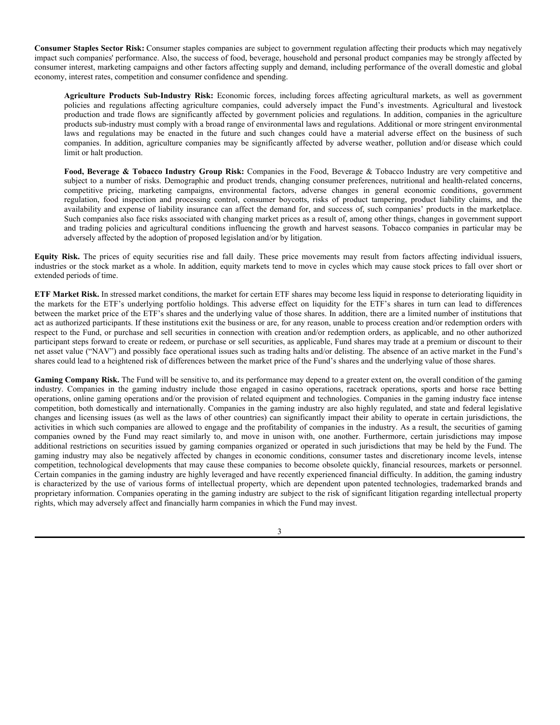**Consumer Staples Sector Risk:** Consumer staples companies are subject to government regulation affecting their products which may negatively impact such companies' performance. Also, the success of food, beverage, household and personal product companies may be strongly affected by consumer interest, marketing campaigns and other factors affecting supply and demand, including performance of the overall domestic and global economy, interest rates, competition and consumer confidence and spending.

**Agriculture Products Sub-Industry Risk:** Economic forces, including forces affecting agricultural markets, as well as government policies and regulations affecting agriculture companies, could adversely impact the Fund's investments. Agricultural and livestock production and trade flows are significantly affected by government policies and regulations. In addition, companies in the agriculture products sub-industry must comply with a broad range of environmental laws and regulations. Additional or more stringent environmental laws and regulations may be enacted in the future and such changes could have a material adverse effect on the business of such companies. In addition, agriculture companies may be significantly affected by adverse weather, pollution and/or disease which could limit or halt production.

**Food, Beverage & Tobacco Industry Group Risk:** Companies in the Food, Beverage & Tobacco Industry are very competitive and subject to a number of risks. Demographic and product trends, changing consumer preferences, nutritional and health-related concerns, competitive pricing, marketing campaigns, environmental factors, adverse changes in general economic conditions, government regulation, food inspection and processing control, consumer boycotts, risks of product tampering, product liability claims, and the availability and expense of liability insurance can affect the demand for, and success of, such companies' products in the marketplace. Such companies also face risks associated with changing market prices as a result of, among other things, changes in government support and trading policies and agricultural conditions influencing the growth and harvest seasons. Tobacco companies in particular may be adversely affected by the adoption of proposed legislation and/or by litigation.

**Equity Risk.** The prices of equity securities rise and fall daily. These price movements may result from factors affecting individual issuers, industries or the stock market as a whole. In addition, equity markets tend to move in cycles which may cause stock prices to fall over short or extended periods of time.

**ETF Market Risk.** In stressed market conditions, the market for certain ETF shares may become less liquid in response to deteriorating liquidity in the markets for the ETF's underlying portfolio holdings. This adverse effect on liquidity for the ETF's shares in turn can lead to differences between the market price of the ETF's shares and the underlying value of those shares. In addition, there are a limited number of institutions that act as authorized participants. If these institutions exit the business or are, for any reason, unable to process creation and/or redemption orders with respect to the Fund, or purchase and sell securities in connection with creation and/or redemption orders, as applicable, and no other authorized participant steps forward to create or redeem, or purchase or sell securities, as applicable, Fund shares may trade at a premium or discount to their net asset value ("NAV") and possibly face operational issues such as trading halts and/or delisting. The absence of an active market in the Fund's shares could lead to a heightened risk of differences between the market price of the Fund's shares and the underlying value of those shares.

Gaming Company Risk. The Fund will be sensitive to, and its performance may depend to a greater extent on, the overall condition of the gaming industry. Companies in the gaming industry include those engaged in casino operations, racetrack operations, sports and horse race betting operations, online gaming operations and/or the provision of related equipment and technologies. Companies in the gaming industry face intense competition, both domestically and internationally. Companies in the gaming industry are also highly regulated, and state and federal legislative changes and licensing issues (as well as the laws of other countries) can significantly impact their ability to operate in certain jurisdictions, the activities in which such companies are allowed to engage and the profitability of companies in the industry. As a result, the securities of gaming companies owned by the Fund may react similarly to, and move in unison with, one another. Furthermore, certain jurisdictions may impose additional restrictions on securities issued by gaming companies organized or operated in such jurisdictions that may be held by the Fund. The gaming industry may also be negatively affected by changes in economic conditions, consumer tastes and discretionary income levels, intense competition, technological developments that may cause these companies to become obsolete quickly, financial resources, markets or personnel. Certain companies in the gaming industry are highly leveraged and have recently experienced financial difficulty. In addition, the gaming industry is characterized by the use of various forms of intellectual property, which are dependent upon patented technologies, trademarked brands and proprietary information. Companies operating in the gaming industry are subject to the risk of significant litigation regarding intellectual property rights, which may adversely affect and financially harm companies in which the Fund may invest.

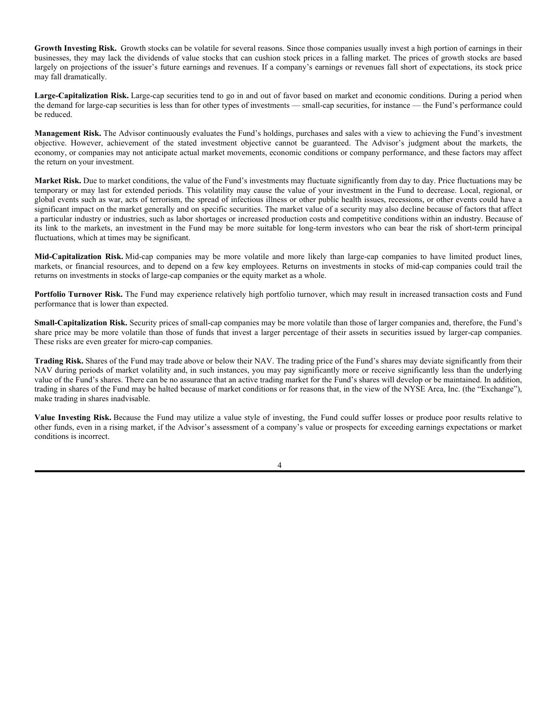**Growth Investing Risk.** Growth stocks can be volatile for several reasons. Since those companies usually invest a high portion of earnings in their businesses, they may lack the dividends of value stocks that can cushion stock prices in a falling market. The prices of growth stocks are based largely on projections of the issuer's future earnings and revenues. If a company's earnings or revenues fall short of expectations, its stock price may fall dramatically.

**Large-Capitalization Risk.** Large-cap securities tend to go in and out of favor based on market and economic conditions. During a period when the demand for large-cap securities is less than for other types of investments — small-cap securities, for instance — the Fund's performance could be reduced.

**Management Risk.** The Advisor continuously evaluates the Fund's holdings, purchases and sales with a view to achieving the Fund's investment objective. However, achievement of the stated investment objective cannot be guaranteed. The Advisor's judgment about the markets, the economy, or companies may not anticipate actual market movements, economic conditions or company performance, and these factors may affect the return on your investment.

**Market Risk.** Due to market conditions, the value of the Fund's investments may fluctuate significantly from day to day. Price fluctuations may be temporary or may last for extended periods. This volatility may cause the value of your investment in the Fund to decrease. Local, regional, or global events such as war, acts of terrorism, the spread of infectious illness or other public health issues, recessions, or other events could have a significant impact on the market generally and on specific securities. The market value of a security may also decline because of factors that affect a particular industry or industries, such as labor shortages or increased production costs and competitive conditions within an industry. Because of its link to the markets, an investment in the Fund may be more suitable for long-term investors who can bear the risk of short-term principal fluctuations, which at times may be significant.

**Mid-Capitalization Risk.** Mid-cap companies may be more volatile and more likely than large-cap companies to have limited product lines, markets, or financial resources, and to depend on a few key employees. Returns on investments in stocks of mid-cap companies could trail the returns on investments in stocks of large-cap companies or the equity market as a whole.

**Portfolio Turnover Risk.** The Fund may experience relatively high portfolio turnover, which may result in increased transaction costs and Fund performance that is lower than expected.

**Small-Capitalization Risk.** Security prices of small-cap companies may be more volatile than those of larger companies and, therefore, the Fund's share price may be more volatile than those of funds that invest a larger percentage of their assets in securities issued by larger-cap companies. These risks are even greater for micro-cap companies.

**Trading Risk.** Shares of the Fund may trade above or below their NAV. The trading price of the Fund's shares may deviate significantly from their NAV during periods of market volatility and, in such instances, you may pay significantly more or receive significantly less than the underlying value of the Fund's shares. There can be no assurance that an active trading market for the Fund's shares will develop or be maintained. In addition, trading in shares of the Fund may be halted because of market conditions or for reasons that, in the view of the NYSE Arca, Inc. (the "Exchange"), make trading in shares inadvisable.

**Value Investing Risk.** Because the Fund may utilize a value style of investing, the Fund could suffer losses or produce poor results relative to other funds, even in a rising market, if the Advisor's assessment of a company's value or prospects for exceeding earnings expectations or market conditions is incorrect.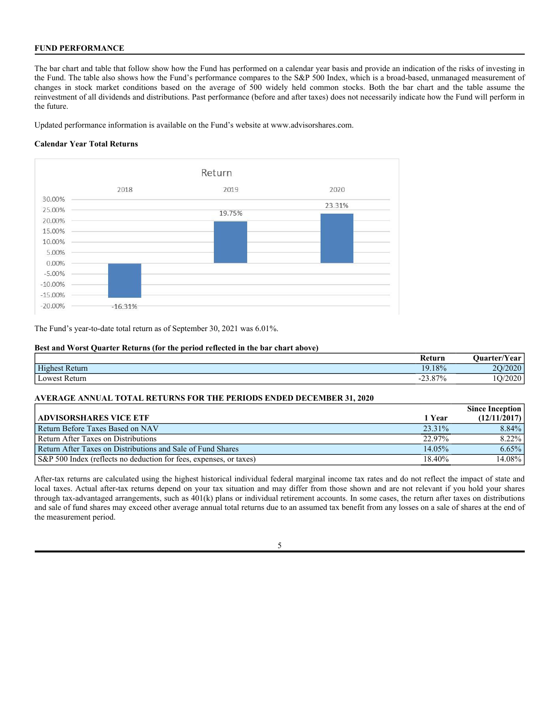# **FUND PERFORMANCE**

The bar chart and table that follow show how the Fund has performed on a calendar year basis and provide an indication of the risks of investing in the Fund. The table also shows how the Fund's performance compares to the S&P 500 Index, which is a broad-based, unmanaged measurement of changes in stock market conditions based on the average of 500 widely held common stocks. Both the bar chart and the table assume the reinvestment of all dividends and distributions. Past performance (before and after taxes) does not necessarily indicate how the Fund will perform in the future.

Updated performance information is available on the Fund's website at www.advisorshares.com.

### **Calendar Year Total Returns**



The Fund's year-to-date total return as of September 30, 2021 was 6.01%.

### **Best and Worst Quarter Returns (for the period reflected in the bar chart above)**

|                  | Keturn                                      | 'Year<br>Juarter/ |
|------------------|---------------------------------------------|-------------------|
| Highest Return   | 19.18%                                      | 2020<br>n c       |
| Lowest<br>Return | $\angle 3.87\%$<br>$\overline{\phantom{0}}$ | າດາດ<br>∠∪∠∪      |

### **AVERAGE ANNUAL TOTAL RETURNS FOR THE PERIODS ENDED DECEMBER 31, 2020**

|                                                                    |        | <b>Since Inception</b> |
|--------------------------------------------------------------------|--------|------------------------|
| <b>ADVISORSHARES VICE ETF</b>                                      | 1 Year | (12/11/2017)           |
| Return Before Taxes Based on NAV                                   | 23.31% | 8.84%                  |
| Return After Taxes on Distributions                                | 22.97% | 8.22%                  |
| Return After Taxes on Distributions and Sale of Fund Shares        | 14.05% | $6.65\%$               |
| S&P 500 Index (reflects no deduction for fees, expenses, or taxes) | 18.40% | 14.08%                 |

After-tax returns are calculated using the highest historical individual federal marginal income tax rates and do not reflect the impact of state and local taxes. Actual after-tax returns depend on your tax situation and may differ from those shown and are not relevant if you hold your shares through tax-advantaged arrangements, such as 401(k) plans or individual retirement accounts. In some cases, the return after taxes on distributions and sale of fund shares may exceed other average annual total returns due to an assumed tax benefit from any losses on a sale of shares at the end of the measurement period.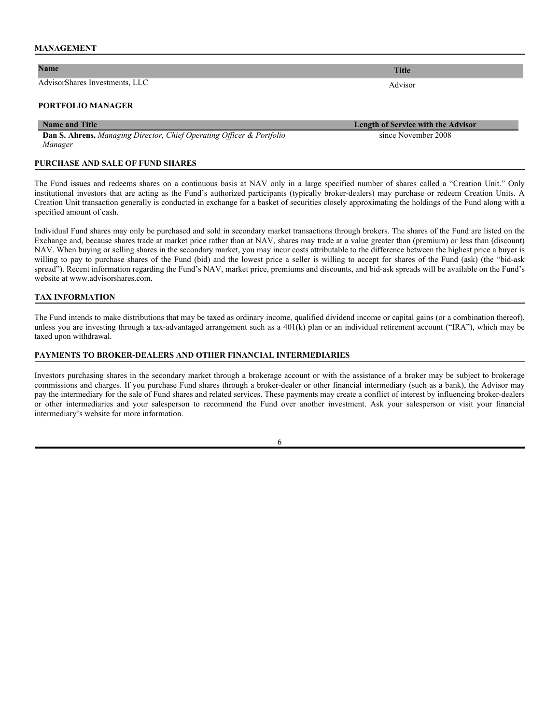#### **MANAGEMENT**

# **Name Title**

AdvisorShares Investments, LLC Advisor

#### **PORTFOLIO MANAGER**

#### **Name and Title Length of Service with the Advisor**

**Dan S. Ahrens,** *Managing Director, Chief Operating Officer & Portfolio Manager* 

#### **PURCHASE AND SALE OF FUND SHARES**

The Fund issues and redeems shares on a continuous basis at NAV only in a large specified number of shares called a "Creation Unit." Only institutional investors that are acting as the Fund's authorized participants (typically broker-dealers) may purchase or redeem Creation Units. A Creation Unit transaction generally is conducted in exchange for a basket of securities closely approximating the holdings of the Fund along with a specified amount of cash.

Individual Fund shares may only be purchased and sold in secondary market transactions through brokers. The shares of the Fund are listed on the Exchange and, because shares trade at market price rather than at NAV, shares may trade at a value greater than (premium) or less than (discount) NAV. When buying or selling shares in the secondary market, you may incur costs attributable to the difference between the highest price a buyer is willing to pay to purchase shares of the Fund (bid) and the lowest price a seller is willing to accept for shares of the Fund (ask) (the "bid-ask spread"). Recent information regarding the Fund's NAV, market price, premiums and discounts, and bid-ask spreads will be available on the Fund's website at www.advisorshares.com.

### **TAX INFORMATION**

The Fund intends to make distributions that may be taxed as ordinary income, qualified dividend income or capital gains (or a combination thereof), unless you are investing through a tax-advantaged arrangement such as a 401(k) plan or an individual retirement account ("IRA"), which may be taxed upon withdrawal.

### **PAYMENTS TO BROKER-DEALERS AND OTHER FINANCIAL INTERMEDIARIES**

Investors purchasing shares in the secondary market through a brokerage account or with the assistance of a broker may be subject to brokerage commissions and charges. If you purchase Fund shares through a broker-dealer or other financial intermediary (such as a bank), the Advisor may pay the intermediary for the sale of Fund shares and related services. These payments may create a conflict of interest by influencing broker-dealers or other intermediaries and your salesperson to recommend the Fund over another investment. Ask your salesperson or visit your financial intermediary's website for more information.

6

since November 2008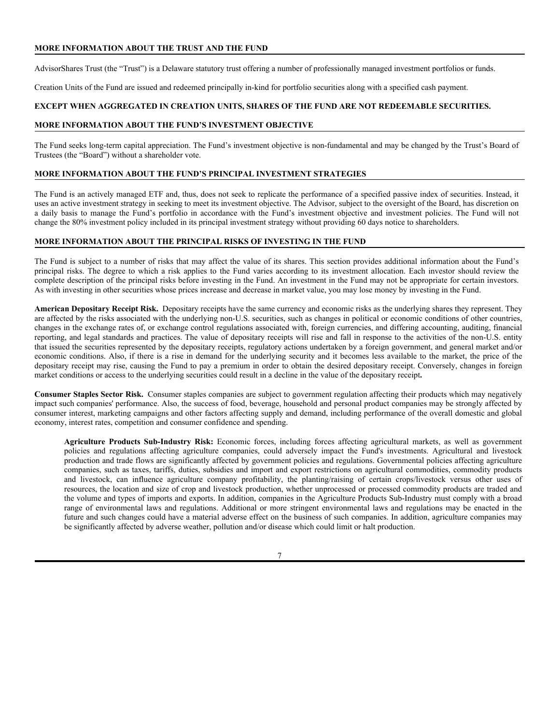# **MORE INFORMATION ABOUT THE TRUST AND THE FUND**

AdvisorShares Trust (the "Trust") is a Delaware statutory trust offering a number of professionally managed investment portfolios or funds.

Creation Units of the Fund are issued and redeemed principally in-kind for portfolio securities along with a specified cash payment.

### **EXCEPT WHEN AGGREGATED IN CREATION UNITS, SHARES OF THE FUND ARE NOT REDEEMABLE SECURITIES.**

#### **MORE INFORMATION ABOUT THE FUND'S INVESTMENT OBJECTIVE**

The Fund seeks long-term capital appreciation. The Fund's investment objective is non-fundamental and may be changed by the Trust's Board of Trustees (the "Board") without a shareholder vote.

# **MORE INFORMATION ABOUT THE FUND'S PRINCIPAL INVESTMENT STRATEGIES**

The Fund is an actively managed ETF and, thus, does not seek to replicate the performance of a specified passive index of securities. Instead, it uses an active investment strategy in seeking to meet its investment objective. The Advisor, subject to the oversight of the Board, has discretion on a daily basis to manage the Fund's portfolio in accordance with the Fund's investment objective and investment policies. The Fund will not change the 80% investment policy included in its principal investment strategy without providing 60 days notice to shareholders.

### **MORE INFORMATION ABOUT THE PRINCIPAL RISKS OF INVESTING IN THE FUND**

The Fund is subject to a number of risks that may affect the value of its shares. This section provides additional information about the Fund's principal risks. The degree to which a risk applies to the Fund varies according to its investment allocation. Each investor should review the complete description of the principal risks before investing in the Fund. An investment in the Fund may not be appropriate for certain investors. As with investing in other securities whose prices increase and decrease in market value, you may lose money by investing in the Fund.

**American Depositary Receipt Risk.** Depositary receipts have the same currency and economic risks as the underlying shares they represent. They are affected by the risks associated with the underlying non-U.S. securities, such as changes in political or economic conditions of other countries, changes in the exchange rates of, or exchange control regulations associated with, foreign currencies, and differing accounting, auditing, financial reporting, and legal standards and practices. The value of depositary receipts will rise and fall in response to the activities of the non-U.S. entity that issued the securities represented by the depositary receipts, regulatory actions undertaken by a foreign government, and general market and/or economic conditions. Also, if there is a rise in demand for the underlying security and it becomes less available to the market, the price of the depositary receipt may rise, causing the Fund to pay a premium in order to obtain the desired depositary receipt. Conversely, changes in foreign market conditions or access to the underlying securities could result in a decline in the value of the depositary receipt**.**

**Consumer Staples Sector Risk.** Consumer staples companies are subject to government regulation affecting their products which may negatively impact such companies' performance. Also, the success of food, beverage, household and personal product companies may be strongly affected by consumer interest, marketing campaigns and other factors affecting supply and demand, including performance of the overall domestic and global economy, interest rates, competition and consumer confidence and spending.

**Agriculture Products Sub-Industry Risk:** Economic forces, including forces affecting agricultural markets, as well as government policies and regulations affecting agriculture companies, could adversely impact the Fund's investments. Agricultural and livestock production and trade flows are significantly affected by government policies and regulations. Governmental policies affecting agriculture companies, such as taxes, tariffs, duties, subsidies and import and export restrictions on agricultural commodities, commodity products and livestock, can influence agriculture company profitability, the planting/raising of certain crops/livestock versus other uses of resources, the location and size of crop and livestock production, whether unprocessed or processed commodity products are traded and the volume and types of imports and exports. In addition, companies in the Agriculture Products Sub-Industry must comply with a broad range of environmental laws and regulations. Additional or more stringent environmental laws and regulations may be enacted in the future and such changes could have a material adverse effect on the business of such companies. In addition, agriculture companies may be significantly affected by adverse weather, pollution and/or disease which could limit or halt production.

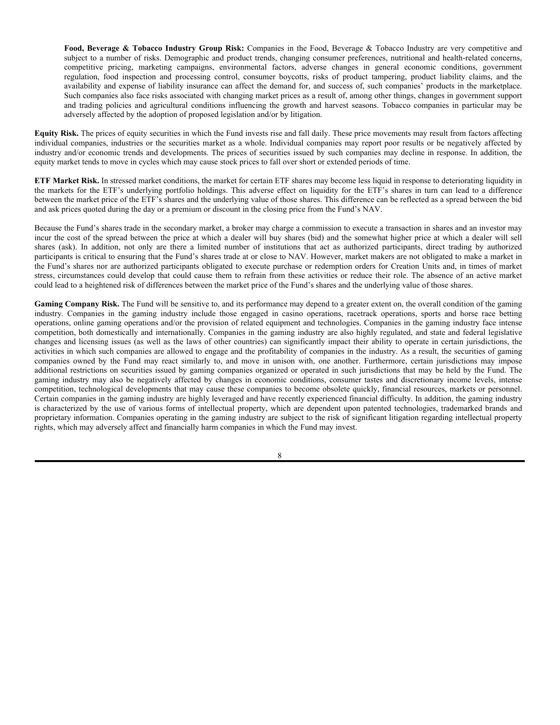**Food, Beverage & Tobacco Industry Group Risk:** Companies in the Food, Beverage & Tobacco Industry are very competitive and subject to a number of risks. Demographic and product trends, changing consumer preferences, nutritional and health-related concerns, competitive pricing, marketing campaigns, environmental factors, adverse changes in general economic conditions, government regulation, food inspection and processing control, consumer boycotts, risks of product tampering, product liability claims, and the availability and expense of liability insurance can affect the demand for, and success of, such companies' products in the marketplace. Such companies also face risks associated with changing market prices as a result of, among other things, changes in government support and trading policies and agricultural conditions influencing the growth and harvest seasons. Tobacco companies in particular may be adversely affected by the adoption of proposed legislation and/or by litigation.

**Equity Risk.** The prices of equity securities in which the Fund invests rise and fall daily. These price movements may result from factors affecting individual companies, industries or the securities market as a whole. Individual companies may report poor results or be negatively affected by industry and/or economic trends and developments. The prices of securities issued by such companies may decline in response. In addition, the equity market tends to move in cycles which may cause stock prices to fall over short or extended periods of time.

**ETF Market Risk.** In stressed market conditions, the market for certain ETF shares may become less liquid in response to deteriorating liquidity in the markets for the ETF's underlying portfolio holdings. This adverse effect on liquidity for the ETF's shares in turn can lead to a difference between the market price of the ETF's shares and the underlying value of those shares. This difference can be reflected as a spread between the bid and ask prices quoted during the day or a premium or discount in the closing price from the Fund's NAV.

Because the Fund's shares trade in the secondary market, a broker may charge a commission to execute a transaction in shares and an investor may incur the cost of the spread between the price at which a dealer will buy shares (bid) and the somewhat higher price at which a dealer will sell shares (ask). In addition, not only are there a limited number of institutions that act as authorized participants, direct trading by authorized participants is critical to ensuring that the Fund's shares trade at or close to NAV. However, market makers are not obligated to make a market in the Fund's shares nor are authorized participants obligated to execute purchase or redemption orders for Creation Units and, in times of market stress, circumstances could develop that could cause them to refrain from these activities or reduce their role. The absence of an active market could lead to a heightened risk of differences between the market price of the Fund's shares and the underlying value of those shares.

Gaming Company Risk. The Fund will be sensitive to, and its performance may depend to a greater extent on, the overall condition of the gaming industry. Companies in the gaming industry include those engaged in casino operations, racetrack operations, sports and horse race betting operations, online gaming operations and/or the provision of related equipment and technologies. Companies in the gaming industry face intense competition, both domestically and internationally. Companies in the gaming industry are also highly regulated, and state and federal legislative changes and licensing issues (as well as the laws of other countries) can significantly impact their ability to operate in certain jurisdictions, the activities in which such companies are allowed to engage and the profitability of companies in the industry. As a result, the securities of gaming companies owned by the Fund may react similarly to, and move in unison with, one another. Furthermore, certain jurisdictions may impose additional restrictions on securities issued by gaming companies organized or operated in such jurisdictions that may be held by the Fund. The gaming industry may also be negatively affected by changes in economic conditions, consumer tastes and discretionary income levels, intense competition, technological developments that may cause these companies to become obsolete quickly, financial resources, markets or personnel. Certain companies in the gaming industry are highly leveraged and have recently experienced financial difficulty. In addition, the gaming industry is characterized by the use of various forms of intellectual property, which are dependent upon patented technologies, trademarked brands and proprietary information. Companies operating in the gaming industry are subject to the risk of significant litigation regarding intellectual property rights, which may adversely affect and financially harm companies in which the Fund may invest.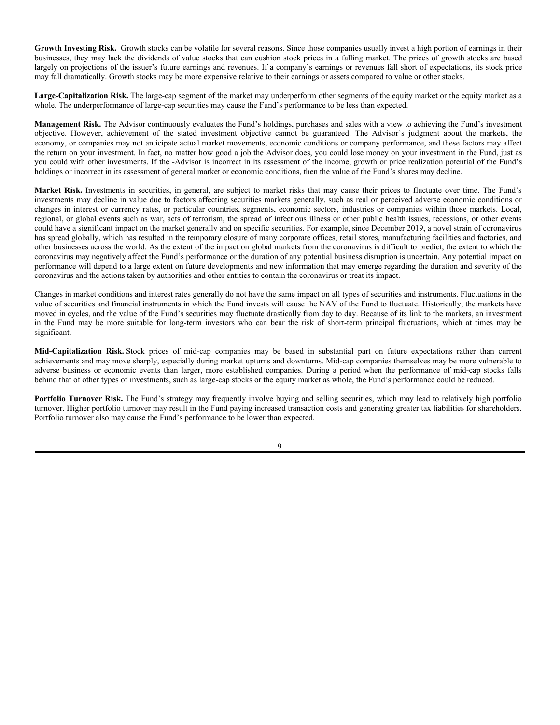Growth Investing Risk. Growth stocks can be volatile for several reasons. Since those companies usually invest a high portion of earnings in their businesses, they may lack the dividends of value stocks that can cushion stock prices in a falling market. The prices of growth stocks are based largely on projections of the issuer's future earnings and revenues. If a company's earnings or revenues fall short of expectations, its stock price may fall dramatically. Growth stocks may be more expensive relative to their earnings or assets compared to value or other stocks.

**Large-Capitalization Risk.** The large-cap segment of the market may underperform other segments of the equity market or the equity market as a whole. The underperformance of large-cap securities may cause the Fund's performance to be less than expected.

**Management Risk.** The Advisor continuously evaluates the Fund's holdings, purchases and sales with a view to achieving the Fund's investment objective. However, achievement of the stated investment objective cannot be guaranteed. The Advisor's judgment about the markets, the economy, or companies may not anticipate actual market movements, economic conditions or company performance, and these factors may affect the return on your investment. In fact, no matter how good a job the Advisor does, you could lose money on your investment in the Fund, just as you could with other investments. If the -Advisor is incorrect in its assessment of the income, growth or price realization potential of the Fund's holdings or incorrect in its assessment of general market or economic conditions, then the value of the Fund's shares may decline.

**Market Risk.** Investments in securities, in general, are subject to market risks that may cause their prices to fluctuate over time. The Fund's investments may decline in value due to factors affecting securities markets generally, such as real or perceived adverse economic conditions or changes in interest or currency rates, or particular countries, segments, economic sectors, industries or companies within those markets. Local, regional, or global events such as war, acts of terrorism, the spread of infectious illness or other public health issues, recessions, or other events could have a significant impact on the market generally and on specific securities. For example, since December 2019, a novel strain of coronavirus has spread globally, which has resulted in the temporary closure of many corporate offices, retail stores, manufacturing facilities and factories, and other businesses across the world. As the extent of the impact on global markets from the coronavirus is difficult to predict, the extent to which the coronavirus may negatively affect the Fund's performance or the duration of any potential business disruption is uncertain. Any potential impact on performance will depend to a large extent on future developments and new information that may emerge regarding the duration and severity of the coronavirus and the actions taken by authorities and other entities to contain the coronavirus or treat its impact.

Changes in market conditions and interest rates generally do not have the same impact on all types of securities and instruments. Fluctuations in the value of securities and financial instruments in which the Fund invests will cause the NAV of the Fund to fluctuate. Historically, the markets have moved in cycles, and the value of the Fund's securities may fluctuate drastically from day to day. Because of its link to the markets, an investment in the Fund may be more suitable for long-term investors who can bear the risk of short-term principal fluctuations, which at times may be significant.

**Mid-Capitalization Risk.** Stock prices of mid-cap companies may be based in substantial part on future expectations rather than current achievements and may move sharply, especially during market upturns and downturns. Mid-cap companies themselves may be more vulnerable to adverse business or economic events than larger, more established companies. During a period when the performance of mid-cap stocks falls behind that of other types of investments, such as large-cap stocks or the equity market as whole, the Fund's performance could be reduced.

**Portfolio Turnover Risk.** The Fund's strategy may frequently involve buying and selling securities, which may lead to relatively high portfolio turnover. Higher portfolio turnover may result in the Fund paying increased transaction costs and generating greater tax liabilities for shareholders. Portfolio turnover also may cause the Fund's performance to be lower than expected.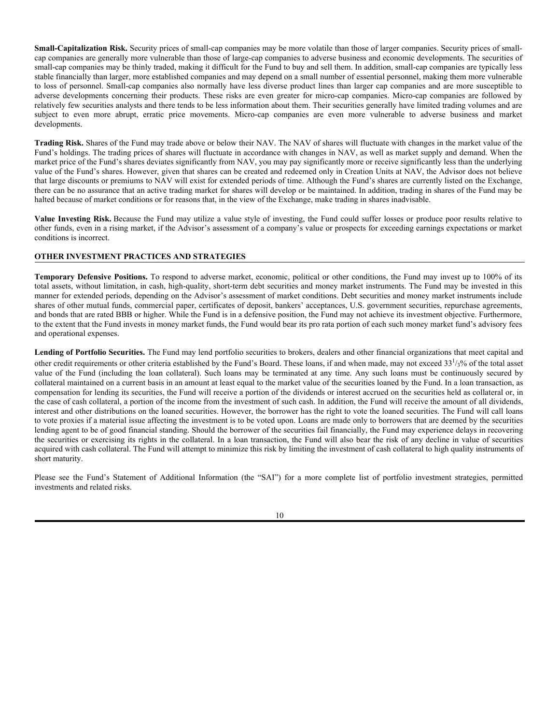**Small-Capitalization Risk.** Security prices of small-cap companies may be more volatile than those of larger companies. Security prices of smallcap companies are generally more vulnerable than those of large-cap companies to adverse business and economic developments. The securities of small-cap companies may be thinly traded, making it difficult for the Fund to buy and sell them. In addition, small-cap companies are typically less stable financially than larger, more established companies and may depend on a small number of essential personnel, making them more vulnerable to loss of personnel. Small-cap companies also normally have less diverse product lines than larger cap companies and are more susceptible to adverse developments concerning their products. These risks are even greater for micro-cap companies. Micro-cap companies are followed by relatively few securities analysts and there tends to be less information about them. Their securities generally have limited trading volumes and are subject to even more abrupt, erratic price movements. Micro-cap companies are even more vulnerable to adverse business and market developments.

**Trading Risk.** Shares of the Fund may trade above or below their NAV. The NAV of shares will fluctuate with changes in the market value of the Fund's holdings. The trading prices of shares will fluctuate in accordance with changes in NAV, as well as market supply and demand. When the market price of the Fund's shares deviates significantly from NAV, you may pay significantly more or receive significantly less than the underlying value of the Fund's shares. However, given that shares can be created and redeemed only in Creation Units at NAV, the Advisor does not believe that large discounts or premiums to NAV will exist for extended periods of time. Although the Fund's shares are currently listed on the Exchange, there can be no assurance that an active trading market for shares will develop or be maintained. In addition, trading in shares of the Fund may be halted because of market conditions or for reasons that, in the view of the Exchange, make trading in shares inadvisable.

**Value Investing Risk.** Because the Fund may utilize a value style of investing, the Fund could suffer losses or produce poor results relative to other funds, even in a rising market, if the Advisor's assessment of a company's value or prospects for exceeding earnings expectations or market conditions is incorrect.

## **OTHER INVESTMENT PRACTICES AND STRATEGIES**

**Temporary Defensive Positions.** To respond to adverse market, economic, political or other conditions, the Fund may invest up to 100% of its total assets, without limitation, in cash, high-quality, short-term debt securities and money market instruments. The Fund may be invested in this manner for extended periods, depending on the Advisor's assessment of market conditions. Debt securities and money market instruments include shares of other mutual funds, commercial paper, certificates of deposit, bankers' acceptances, U.S. government securities, repurchase agreements, and bonds that are rated BBB or higher. While the Fund is in a defensive position, the Fund may not achieve its investment objective. Furthermore, to the extent that the Fund invests in money market funds, the Fund would bear its pro rata portion of each such money market fund's advisory fees and operational expenses.

**Lending of Portfolio Securities.** The Fund may lend portfolio securities to brokers, dealers and other financial organizations that meet capital and other credit requirements or other criteria established by the Fund's Board. These loans, if and when made, may not exceed  $33^{1/3}_{3/6}$  of the total asset value of the Fund (including the loan collateral). Such loans may be terminated at any time. Any such loans must be continuously secured by collateral maintained on a current basis in an amount at least equal to the market value of the securities loaned by the Fund. In a loan transaction, as compensation for lending its securities, the Fund will receive a portion of the dividends or interest accrued on the securities held as collateral or, in the case of cash collateral, a portion of the income from the investment of such cash. In addition, the Fund will receive the amount of all dividends, interest and other distributions on the loaned securities. However, the borrower has the right to vote the loaned securities. The Fund will call loans to vote proxies if a material issue affecting the investment is to be voted upon. Loans are made only to borrowers that are deemed by the securities lending agent to be of good financial standing. Should the borrower of the securities fail financially, the Fund may experience delays in recovering the securities or exercising its rights in the collateral. In a loan transaction, the Fund will also bear the risk of any decline in value of securities acquired with cash collateral. The Fund will attempt to minimize this risk by limiting the investment of cash collateral to high quality instruments of short maturity.

Please see the Fund's Statement of Additional Information (the "SAI") for a more complete list of portfolio investment strategies, permitted investments and related risks.

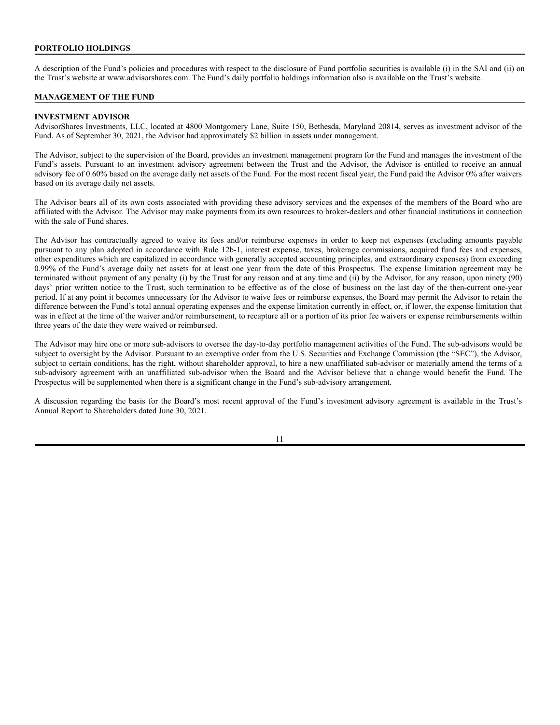### **PORTFOLIO HOLDINGS**

A description of the Fund's policies and procedures with respect to the disclosure of Fund portfolio securities is available (i) in the SAI and (ii) on the Trust's website at www.advisorshares.com. The Fund's daily portfolio holdings information also is available on the Trust's website.

### **MANAGEMENT OF THE FUND**

### **INVESTMENT ADVISOR**

AdvisorShares Investments, LLC, located at 4800 Montgomery Lane, Suite 150, Bethesda, Maryland 20814, serves as investment advisor of the Fund. As of September 30, 2021, the Advisor had approximately \$2 billion in assets under management.

The Advisor, subject to the supervision of the Board, provides an investment management program for the Fund and manages the investment of the Fund's assets. Pursuant to an investment advisory agreement between the Trust and the Advisor, the Advisor is entitled to receive an annual advisory fee of 0.60% based on the average daily net assets of the Fund. For the most recent fiscal year, the Fund paid the Advisor 0% after waivers based on its average daily net assets.

The Advisor bears all of its own costs associated with providing these advisory services and the expenses of the members of the Board who are affiliated with the Advisor. The Advisor may make payments from its own resources to broker-dealers and other financial institutions in connection with the sale of Fund shares.

The Advisor has contractually agreed to waive its fees and/or reimburse expenses in order to keep net expenses (excluding amounts payable pursuant to any plan adopted in accordance with Rule 12b-1, interest expense, taxes, brokerage commissions, acquired fund fees and expenses, other expenditures which are capitalized in accordance with generally accepted accounting principles, and extraordinary expenses) from exceeding 0.99% of the Fund's average daily net assets for at least one year from the date of this Prospectus. The expense limitation agreement may be terminated without payment of any penalty (i) by the Trust for any reason and at any time and (ii) by the Advisor, for any reason, upon ninety (90) days' prior written notice to the Trust, such termination to be effective as of the close of business on the last day of the then-current one-year period. If at any point it becomes unnecessary for the Advisor to waive fees or reimburse expenses, the Board may permit the Advisor to retain the difference between the Fund's total annual operating expenses and the expense limitation currently in effect, or, if lower, the expense limitation that was in effect at the time of the waiver and/or reimbursement, to recapture all or a portion of its prior fee waivers or expense reimbursements within three years of the date they were waived or reimbursed.

The Advisor may hire one or more sub-advisors to oversee the day-to-day portfolio management activities of the Fund. The sub-advisors would be subject to oversight by the Advisor. Pursuant to an exemptive order from the U.S. Securities and Exchange Commission (the "SEC"), the Advisor, subject to certain conditions, has the right, without shareholder approval, to hire a new unaffiliated sub-advisor or materially amend the terms of a sub-advisory agreement with an unaffiliated sub-advisor when the Board and the Advisor believe that a change would benefit the Fund. The Prospectus will be supplemented when there is a significant change in the Fund's sub-advisory arrangement.

A discussion regarding the basis for the Board's most recent approval of the Fund's investment advisory agreement is available in the Trust's Annual Report to Shareholders dated June 30, 2021.

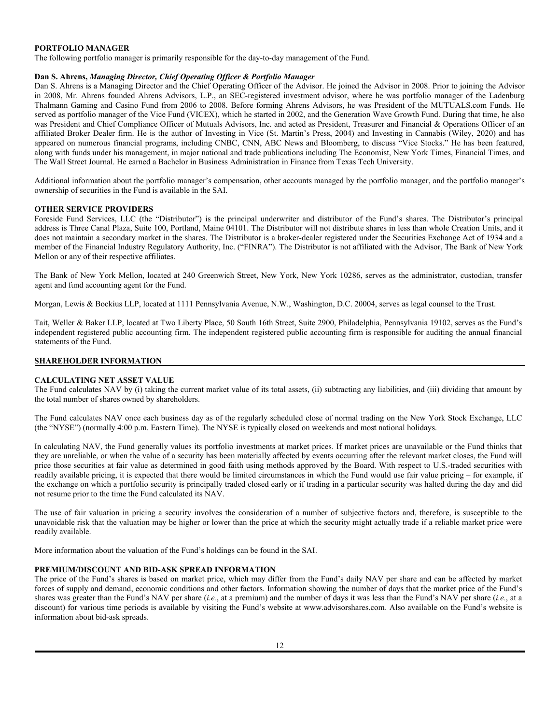# **PORTFOLIO MANAGER**

The following portfolio manager is primarily responsible for the day-to-day management of the Fund.

### **Dan S. Ahrens,** *Managing Director, Chief Operating Officer & Portfolio Manager*

Dan S. Ahrens is a Managing Director and the Chief Operating Officer of the Advisor. He joined the Advisor in 2008. Prior to joining the Advisor in 2008, Mr. Ahrens founded Ahrens Advisors, L.P., an SEC-registered investment advisor, where he was portfolio manager of the Ladenburg Thalmann Gaming and Casino Fund from 2006 to 2008. Before forming Ahrens Advisors, he was President of the MUTUALS.com Funds. He served as portfolio manager of the Vice Fund (VICEX), which he started in 2002, and the Generation Wave Growth Fund. During that time, he also was President and Chief Compliance Officer of Mutuals Advisors, Inc. and acted as President, Treasurer and Financial & Operations Officer of an affiliated Broker Dealer firm. He is the author of Investing in Vice (St. Martin's Press, 2004) and Investing in Cannabis (Wiley, 2020) and has appeared on numerous financial programs, including CNBC, CNN, ABC News and Bloomberg, to discuss "Vice Stocks." He has been featured, along with funds under his management, in major national and trade publications including The Economist, New York Times, Financial Times, and The Wall Street Journal. He earned a Bachelor in Business Administration in Finance from Texas Tech University.

Additional information about the portfolio manager's compensation, other accounts managed by the portfolio manager, and the portfolio manager's ownership of securities in the Fund is available in the SAI.

### **OTHER SERVICE PROVIDERS**

Foreside Fund Services, LLC (the "Distributor") is the principal underwriter and distributor of the Fund's shares. The Distributor's principal address is Three Canal Plaza, Suite 100, Portland, Maine 04101. The Distributor will not distribute shares in less than whole Creation Units, and it does not maintain a secondary market in the shares. The Distributor is a broker-dealer registered under the Securities Exchange Act of 1934 and a member of the Financial Industry Regulatory Authority, Inc. ("FINRA"). The Distributor is not affiliated with the Advisor, The Bank of New York Mellon or any of their respective affiliates.

The Bank of New York Mellon, located at 240 Greenwich Street, New York, New York 10286, serves as the administrator, custodian, transfer agent and fund accounting agent for the Fund.

Morgan, Lewis & Bockius LLP, located at 1111 Pennsylvania Avenue, N.W., Washington, D.C. 20004, serves as legal counsel to the Trust.

Tait, Weller & Baker LLP, located at Two Liberty Place, 50 South 16th Street, Suite 2900, Philadelphia, Pennsylvania 19102, serves as the Fund's independent registered public accounting firm. The independent registered public accounting firm is responsible for auditing the annual financial statements of the Fund.

# **SHAREHOLDER INFORMATION**

### **CALCULATING NET ASSET VALUE**

The Fund calculates NAV by (i) taking the current market value of its total assets, (ii) subtracting any liabilities, and (iii) dividing that amount by the total number of shares owned by shareholders.

The Fund calculates NAV once each business day as of the regularly scheduled close of normal trading on the New York Stock Exchange, LLC (the "NYSE") (normally 4:00 p.m. Eastern Time). The NYSE is typically closed on weekends and most national holidays.

In calculating NAV, the Fund generally values its portfolio investments at market prices. If market prices are unavailable or the Fund thinks that they are unreliable, or when the value of a security has been materially affected by events occurring after the relevant market closes, the Fund will price those securities at fair value as determined in good faith using methods approved by the Board. With respect to U.S.-traded securities with readily available pricing, it is expected that there would be limited circumstances in which the Fund would use fair value pricing – for example, if the exchange on which a portfolio security is principally traded closed early or if trading in a particular security was halted during the day and did not resume prior to the time the Fund calculated its NAV.

The use of fair valuation in pricing a security involves the consideration of a number of subjective factors and, therefore, is susceptible to the unavoidable risk that the valuation may be higher or lower than the price at which the security might actually trade if a reliable market price were readily available.

More information about the valuation of the Fund's holdings can be found in the SAI.

### **PREMIUM/DISCOUNT AND BID-ASK SPREAD INFORMATION**

The price of the Fund's shares is based on market price, which may differ from the Fund's daily NAV per share and can be affected by market forces of supply and demand, economic conditions and other factors. Information showing the number of days that the market price of the Fund's shares was greater than the Fund's NAV per share (*i.e.*, at a premium) and the number of days it was less than the Fund's NAV per share (*i.e.*, at a discount) for various time periods is available by visiting the Fund's website at www.advisorshares.com. Also available on the Fund's website is information about bid-ask spreads.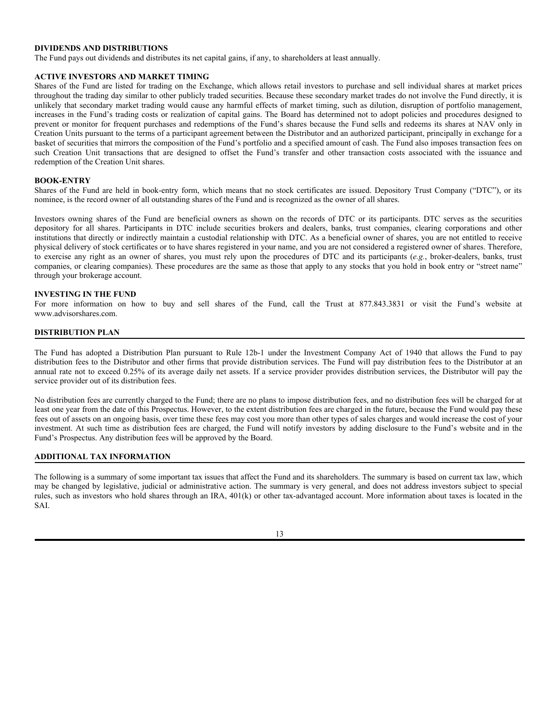## **DIVIDENDS AND DISTRIBUTIONS**

The Fund pays out dividends and distributes its net capital gains, if any, to shareholders at least annually.

### **ACTIVE INVESTORS AND MARKET TIMING**

Shares of the Fund are listed for trading on the Exchange, which allows retail investors to purchase and sell individual shares at market prices throughout the trading day similar to other publicly traded securities. Because these secondary market trades do not involve the Fund directly, it is unlikely that secondary market trading would cause any harmful effects of market timing, such as dilution, disruption of portfolio management, increases in the Fund's trading costs or realization of capital gains. The Board has determined not to adopt policies and procedures designed to prevent or monitor for frequent purchases and redemptions of the Fund's shares because the Fund sells and redeems its shares at NAV only in Creation Units pursuant to the terms of a participant agreement between the Distributor and an authorized participant, principally in exchange for a basket of securities that mirrors the composition of the Fund's portfolio and a specified amount of cash. The Fund also imposes transaction fees on such Creation Unit transactions that are designed to offset the Fund's transfer and other transaction costs associated with the issuance and redemption of the Creation Unit shares.

### **BOOK-ENTRY**

Shares of the Fund are held in book-entry form, which means that no stock certificates are issued. Depository Trust Company ("DTC"), or its nominee, is the record owner of all outstanding shares of the Fund and is recognized as the owner of all shares.

Investors owning shares of the Fund are beneficial owners as shown on the records of DTC or its participants. DTC serves as the securities depository for all shares. Participants in DTC include securities brokers and dealers, banks, trust companies, clearing corporations and other institutions that directly or indirectly maintain a custodial relationship with DTC. As a beneficial owner of shares, you are not entitled to receive physical delivery of stock certificates or to have shares registered in your name, and you are not considered a registered owner of shares. Therefore, to exercise any right as an owner of shares, you must rely upon the procedures of DTC and its participants (*e.g.*, broker-dealers, banks, trust companies, or clearing companies). These procedures are the same as those that apply to any stocks that you hold in book entry or "street name" through your brokerage account.

### **INVESTING IN THE FUND**

For more information on how to buy and sell shares of the Fund, call the Trust at 877.843.3831 or visit the Fund's website at www.advisorshares.com.

# **DISTRIBUTION PLAN**

The Fund has adopted a Distribution Plan pursuant to Rule 12b-1 under the Investment Company Act of 1940 that allows the Fund to pay distribution fees to the Distributor and other firms that provide distribution services. The Fund will pay distribution fees to the Distributor at an annual rate not to exceed 0.25% of its average daily net assets. If a service provider provides distribution services, the Distributor will pay the service provider out of its distribution fees.

No distribution fees are currently charged to the Fund; there are no plans to impose distribution fees, and no distribution fees will be charged for at least one year from the date of this Prospectus. However, to the extent distribution fees are charged in the future, because the Fund would pay these fees out of assets on an ongoing basis, over time these fees may cost you more than other types of sales charges and would increase the cost of your investment. At such time as distribution fees are charged, the Fund will notify investors by adding disclosure to the Fund's website and in the Fund's Prospectus. Any distribution fees will be approved by the Board.

### **ADDITIONAL TAX INFORMATION**

The following is a summary of some important tax issues that affect the Fund and its shareholders. The summary is based on current tax law, which may be changed by legislative, judicial or administrative action. The summary is very general, and does not address investors subject to special rules, such as investors who hold shares through an IRA, 401(k) or other tax-advantaged account. More information about taxes is located in the SAI.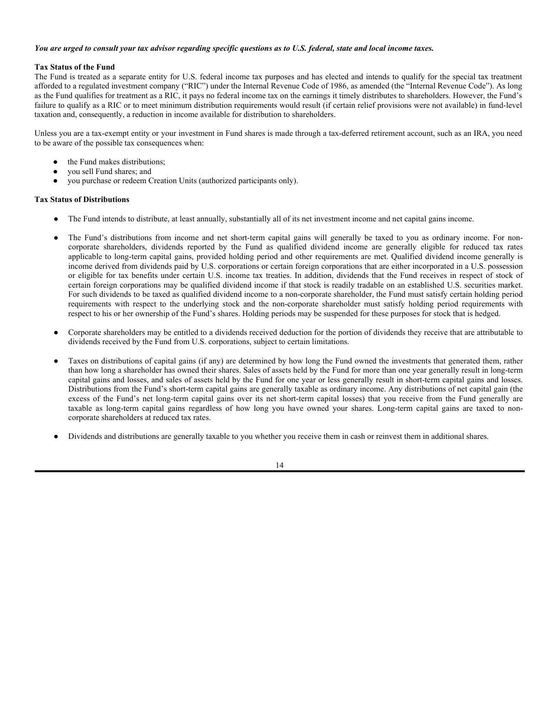### *You are urged to consult your tax advisor regarding specific questions as to U.S. federal, state and local income taxes.*

# **Tax Status of the Fund**

The Fund is treated as a separate entity for U.S. federal income tax purposes and has elected and intends to qualify for the special tax treatment afforded to a regulated investment company ("RIC") under the Internal Revenue Code of 1986, as amended (the "Internal Revenue Code"). As long as the Fund qualifies for treatment as a RIC, it pays no federal income tax on the earnings it timely distributes to shareholders. However, the Fund's failure to qualify as a RIC or to meet minimum distribution requirements would result (if certain relief provisions were not available) in fund-level taxation and, consequently, a reduction in income available for distribution to shareholders.

Unless you are a tax-exempt entity or your investment in Fund shares is made through a tax-deferred retirement account, such as an IRA, you need to be aware of the possible tax consequences when:

- the Fund makes distributions;
- you sell Fund shares; and
- you purchase or redeem Creation Units (authorized participants only).

### **Tax Status of Distributions**

- The Fund intends to distribute, at least annually, substantially all of its net investment income and net capital gains income.
- The Fund's distributions from income and net short-term capital gains will generally be taxed to you as ordinary income. For noncorporate shareholders, dividends reported by the Fund as qualified dividend income are generally eligible for reduced tax rates applicable to long-term capital gains, provided holding period and other requirements are met. Qualified dividend income generally is income derived from dividends paid by U.S. corporations or certain foreign corporations that are either incorporated in a U.S. possession or eligible for tax benefits under certain U.S. income tax treaties. In addition, dividends that the Fund receives in respect of stock of certain foreign corporations may be qualified dividend income if that stock is readily tradable on an established U.S. securities market. For such dividends to be taxed as qualified dividend income to a non-corporate shareholder, the Fund must satisfy certain holding period requirements with respect to the underlying stock and the non-corporate shareholder must satisfy holding period requirements with respect to his or her ownership of the Fund's shares. Holding periods may be suspended for these purposes for stock that is hedged.
- Corporate shareholders may be entitled to a dividends received deduction for the portion of dividends they receive that are attributable to dividends received by the Fund from U.S. corporations, subject to certain limitations.
- Taxes on distributions of capital gains (if any) are determined by how long the Fund owned the investments that generated them, rather than how long a shareholder has owned their shares. Sales of assets held by the Fund for more than one year generally result in long-term capital gains and losses, and sales of assets held by the Fund for one year or less generally result in short-term capital gains and losses. Distributions from the Fund's short-term capital gains are generally taxable as ordinary income. Any distributions of net capital gain (the excess of the Fund's net long-term capital gains over its net short-term capital losses) that you receive from the Fund generally are taxable as long-term capital gains regardless of how long you have owned your shares. Long-term capital gains are taxed to noncorporate shareholders at reduced tax rates.
- Dividends and distributions are generally taxable to you whether you receive them in cash or reinvest them in additional shares.

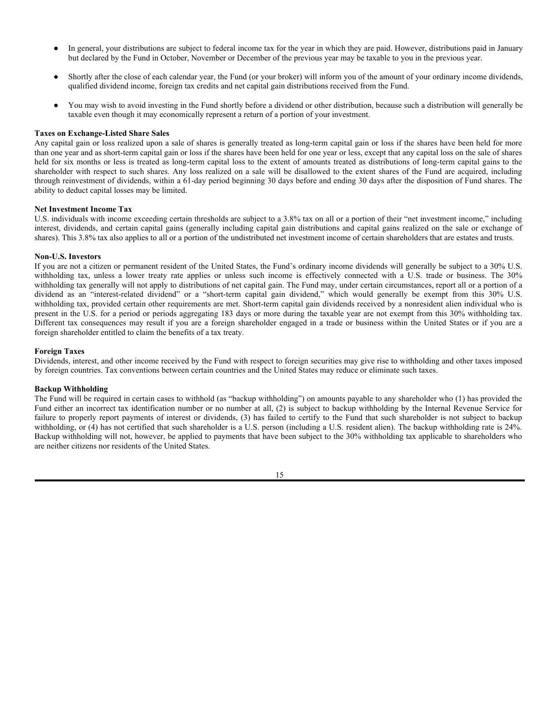- In general, your distributions are subject to federal income tax for the year in which they are paid. However, distributions paid in January but declared by the Fund in October, November or December of the previous year may be taxable to you in the previous year.
- Shortly after the close of each calendar year, the Fund (or your broker) will inform you of the amount of your ordinary income dividends, qualified dividend income, foreign tax credits and net capital gain distributions received from the Fund.
- You may wish to avoid investing in the Fund shortly before a dividend or other distribution, because such a distribution will generally be taxable even though it may economically represent a return of a portion of your investment.

### **Taxes on Exchange-Listed Share Sales**

Any capital gain or loss realized upon a sale of shares is generally treated as long-term capital gain or loss if the shares have been held for more than one year and as short-term capital gain or loss if the shares have been held for one year or less, except that any capital loss on the sale of shares held for six months or less is treated as long-term capital loss to the extent of amounts treated as distributions of long-term capital gains to the shareholder with respect to such shares. Any loss realized on a sale will be disallowed to the extent shares of the Fund are acquired, including through reinvestment of dividends, within a 61-day period beginning 30 days before and ending 30 days after the disposition of Fund shares. The ability to deduct capital losses may be limited.

#### **Net Investment Income Tax**

U.S. individuals with income exceeding certain thresholds are subject to a 3.8% tax on all or a portion of their "net investment income," including interest, dividends, and certain capital gains (generally including capital gain distributions and capital gains realized on the sale or exchange of shares). This 3.8% tax also applies to all or a portion of the undistributed net investment income of certain shareholders that are estates and trusts.

### **Non-U.S. Investors**

If you are not a citizen or permanent resident of the United States, the Fund's ordinary income dividends will generally be subject to a 30% U.S. withholding tax, unless a lower treaty rate applies or unless such income is effectively connected with a U.S. trade or business. The 30% withholding tax generally will not apply to distributions of net capital gain. The Fund may, under certain circumstances, report all or a portion of a dividend as an "interest-related dividend" or a "short-term capital gain dividend," which would generally be exempt from this 30% U.S. withholding tax, provided certain other requirements are met. Short-term capital gain dividends received by a nonresident alien individual who is present in the U.S. for a period or periods aggregating 183 days or more during the taxable year are not exempt from this 30% withholding tax. Different tax consequences may result if you are a foreign shareholder engaged in a trade or business within the United States or if you are a foreign shareholder entitled to claim the benefits of a tax treaty.

#### **Foreign Taxes**

Dividends, interest, and other income received by the Fund with respect to foreign securities may give rise to withholding and other taxes imposed by foreign countries. Tax conventions between certain countries and the United States may reduce or eliminate such taxes.

#### **Backup Withholding**

The Fund will be required in certain cases to withhold (as "backup withholding") on amounts payable to any shareholder who (1) has provided the Fund either an incorrect tax identification number or no number at all, (2) is subject to backup withholding by the Internal Revenue Service for failure to properly report payments of interest or dividends, (3) has failed to certify to the Fund that such shareholder is not subject to backup withholding, or (4) has not certified that such shareholder is a U.S. person (including a U.S. resident alien). The backup withholding rate is 24%. Backup withholding will not, however, be applied to payments that have been subject to the 30% withholding tax applicable to shareholders who are neither citizens nor residents of the United States.

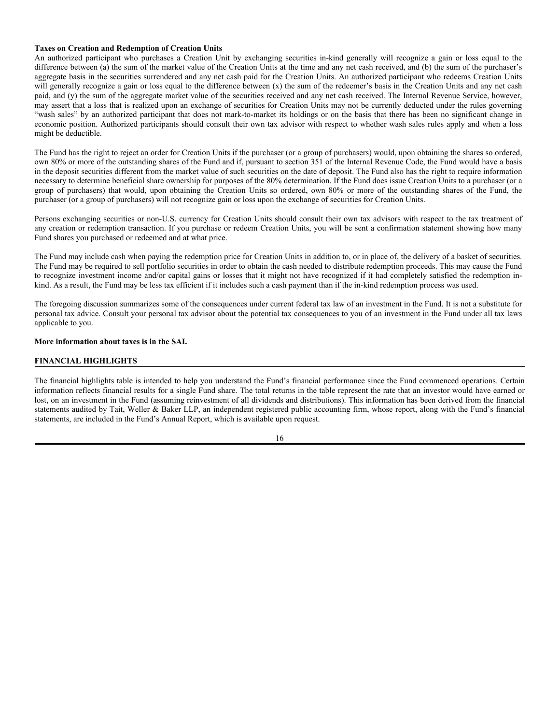### **Taxes on Creation and Redemption of Creation Units**

An authorized participant who purchases a Creation Unit by exchanging securities in-kind generally will recognize a gain or loss equal to the difference between (a) the sum of the market value of the Creation Units at the time and any net cash received, and (b) the sum of the purchaser's aggregate basis in the securities surrendered and any net cash paid for the Creation Units. An authorized participant who redeems Creation Units will generally recognize a gain or loss equal to the difference between (x) the sum of the redeemer's basis in the Creation Units and any net cash paid, and (y) the sum of the aggregate market value of the securities received and any net cash received. The Internal Revenue Service, however, may assert that a loss that is realized upon an exchange of securities for Creation Units may not be currently deducted under the rules governing "wash sales" by an authorized participant that does not mark-to-market its holdings or on the basis that there has been no significant change in economic position. Authorized participants should consult their own tax advisor with respect to whether wash sales rules apply and when a loss might be deductible.

The Fund has the right to reject an order for Creation Units if the purchaser (or a group of purchasers) would, upon obtaining the shares so ordered, own 80% or more of the outstanding shares of the Fund and if, pursuant to section 351 of the Internal Revenue Code, the Fund would have a basis in the deposit securities different from the market value of such securities on the date of deposit. The Fund also has the right to require information necessary to determine beneficial share ownership for purposes of the 80% determination. If the Fund does issue Creation Units to a purchaser (or a group of purchasers) that would, upon obtaining the Creation Units so ordered, own 80% or more of the outstanding shares of the Fund, the purchaser (or a group of purchasers) will not recognize gain or loss upon the exchange of securities for Creation Units.

Persons exchanging securities or non-U.S. currency for Creation Units should consult their own tax advisors with respect to the tax treatment of any creation or redemption transaction. If you purchase or redeem Creation Units, you will be sent a confirmation statement showing how many Fund shares you purchased or redeemed and at what price.

The Fund may include cash when paying the redemption price for Creation Units in addition to, or in place of, the delivery of a basket of securities. The Fund may be required to sell portfolio securities in order to obtain the cash needed to distribute redemption proceeds. This may cause the Fund to recognize investment income and/or capital gains or losses that it might not have recognized if it had completely satisfied the redemption inkind. As a result, the Fund may be less tax efficient if it includes such a cash payment than if the in-kind redemption process was used.

The foregoing discussion summarizes some of the consequences under current federal tax law of an investment in the Fund. It is not a substitute for personal tax advice. Consult your personal tax advisor about the potential tax consequences to you of an investment in the Fund under all tax laws applicable to you.

### **More information about taxes is in the SAI.**

### **FINANCIAL HIGHLIGHTS**

The financial highlights table is intended to help you understand the Fund's financial performance since the Fund commenced operations. Certain information reflects financial results for a single Fund share. The total returns in the table represent the rate that an investor would have earned or lost, on an investment in the Fund (assuming reinvestment of all dividends and distributions). This information has been derived from the financial statements audited by Tait, Weller & Baker LLP, an independent registered public accounting firm, whose report, along with the Fund's financial statements, are included in the Fund's Annual Report, which is available upon request.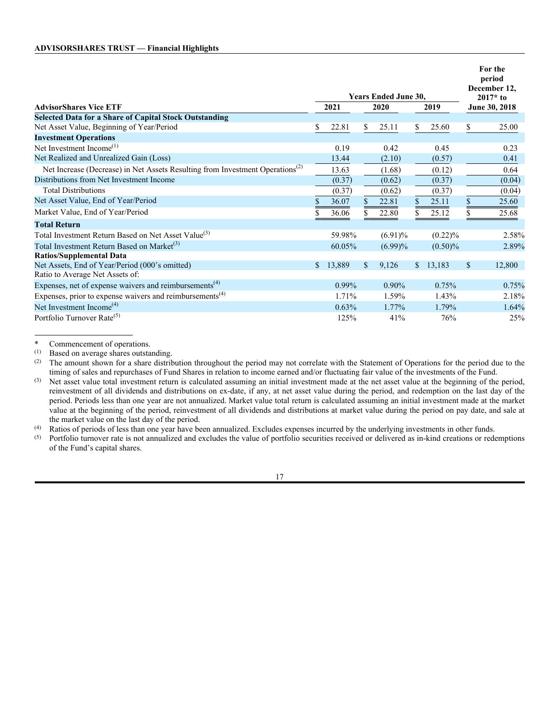|                                                                                           |    |          |              | <b>Years Ended June 30.</b> |             |               | For the<br>period<br>December 12,<br>$2017*$ to |
|-------------------------------------------------------------------------------------------|----|----------|--------------|-----------------------------|-------------|---------------|-------------------------------------------------|
| <b>AdvisorShares Vice ETF</b>                                                             |    | 2021     |              | 2020                        | 2019        |               | June 30, 2018                                   |
| <b>Selected Data for a Share of Capital Stock Outstanding</b>                             |    |          |              |                             |             |               |                                                 |
| Net Asset Value, Beginning of Year/Period                                                 | \$ | 22.81    | \$           | 25.11                       | \$<br>25.60 | \$            | 25.00                                           |
| <b>Investment Operations</b>                                                              |    |          |              |                             |             |               |                                                 |
| Net Investment Income <sup>(1)</sup>                                                      |    | 0.19     |              | 0.42                        | 0.45        |               | 0.23                                            |
| Net Realized and Unrealized Gain (Loss)                                                   |    | 13.44    |              | (2.10)                      | (0.57)      |               | 0.41                                            |
| Net Increase (Decrease) in Net Assets Resulting from Investment Operations <sup>(2)</sup> |    | 13.63    |              | (1.68)                      | (0.12)      |               | 0.64                                            |
| Distributions from Net Investment Income                                                  |    | (0.37)   |              | (0.62)                      | (0.37)      |               | (0.04)                                          |
| <b>Total Distributions</b>                                                                |    | (0.37)   |              | (0.62)                      | (0.37)      |               | (0.04)                                          |
| Net Asset Value, End of Year/Period                                                       | \$ | 36.07    | \$           | 22.81                       | \$<br>25.11 | \$            | 25.60                                           |
| Market Value, End of Year/Period                                                          |    | 36.06    |              | 22.80                       | \$<br>25.12 |               | 25.68                                           |
| <b>Total Return</b>                                                                       |    |          |              |                             |             |               |                                                 |
| Total Investment Return Based on Net Asset Value <sup>(3)</sup>                           |    | 59.98%   |              | $(6.91)\%$                  | $(0.22)\%$  |               | 2.58%                                           |
| Total Investment Return Based on Market <sup>(3)</sup>                                    |    | 60.05%   |              | $(6.99)\%$                  | $(0.50)\%$  |               | 2.89%                                           |
| <b>Ratios/Supplemental Data</b>                                                           |    |          |              |                             |             |               |                                                 |
| Net Assets, End of Year/Period (000's omitted)                                            | S. | 13,889   | $\mathbb{S}$ | 9,126                       | \$13,183    | $\mathcal{S}$ | 12,800                                          |
| Ratio to Average Net Assets of:                                                           |    |          |              |                             |             |               |                                                 |
| Expenses, net of expense waivers and reimbursements <sup>(4)</sup>                        |    | $0.99\%$ |              | $0.90\%$                    | 0.75%       |               | 0.75%                                           |
| Expenses, prior to expense waivers and reimbursements $(4)$                               |    | 1.71%    |              | 1.59%                       | 1.43%       |               | 2.18%                                           |
| Net Investment Income <sup>(4)</sup>                                                      |    | 0.63%    |              | 1.77%                       | 1.79%       |               | 1.64%                                           |
| Portfolio Turnover Rate <sup>(5)</sup>                                                    |    | 125%     |              | 41%                         | 76%         |               | 25%                                             |

\* Commencement of operations.<br>(1) Based on average shares outsta

Based on average shares outstanding.

(2) The amount shown for a share distribution throughout the period may not correlate with the Statement of Operations for the period due to the timing of sales and repurchases of Fund Shares in relation to income earned and/or fluctuating fair value of the investments of the Fund.

(3) Net asset value total investment return is calculated assuming an initial investment made at the net asset value at the beginning of the period, reinvestment of all dividends and distributions on ex-date, if any, at net asset value during the period, and redemption on the last day of the period. Periods less than one year are not annualized. Market value total return is calculated assuming an initial investment made at the market value at the beginning of the period, reinvestment of all dividends and distributions at market value during the period on pay date, and sale at the market value on the last day of the period.

(4) Ratios of periods of less than one year have been annualized. Excludes expenses incurred by the underlying investments in other funds.<br>(5) Portfolio turnover rate is not annualized and excludes the value of portfolio s

Portfolio turnover rate is not annualized and excludes the value of portfolio securities received or delivered as in-kind creations or redemptions of the Fund's capital shares.